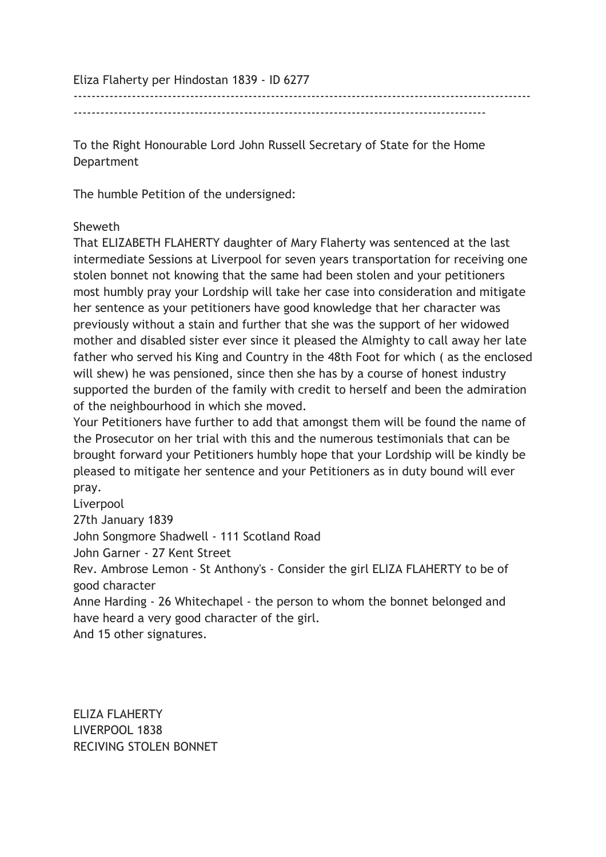Eliza Flaherty per Hindostan 1839 - ID 6277

------------------------------------------------------------------------------------------------------

--------------------------------------------------------------------------------------------

To the Right Honourable Lord John Russell Secretary of State for the Home Department

The humble Petition of the undersigned:

## Sheweth

That ELIZABETH FLAHERTY daughter of Mary Flaherty was sentenced at the last intermediate Sessions at Liverpool for seven years transportation for receiving one stolen bonnet not knowing that the same had been stolen and your petitioners most humbly pray your Lordship will take her case into consideration and mitigate her sentence as your petitioners have good knowledge that her character was previously without a stain and further that she was the support of her widowed mother and disabled sister ever since it pleased the Almighty to call away her late father who served his King and Country in the 48th Foot for which ( as the enclosed will shew) he was pensioned, since then she has by a course of honest industry supported the burden of the family with credit to herself and been the admiration of the neighbourhood in which she moved.

Your Petitioners have further to add that amongst them will be found the name of the Prosecutor on her trial with this and the numerous testimonials that can be brought forward your Petitioners humbly hope that your Lordship will be kindly be pleased to mitigate her sentence and your Petitioners as in duty bound will ever pray.

Liverpool 27th January 1839 John Songmore Shadwell - 111 Scotland Road John Garner - 27 Kent Street Rev. Ambrose Lemon - St Anthony's - Consider the girl ELIZA FLAHERTY to be of good character Anne Harding - 26 Whitechapel - the person to whom the bonnet belonged and

have heard a very good character of the girl.

And 15 other signatures.

ELIZA FLAHERTY LIVERPOOL 1838 RECIVING STOLEN BONNET